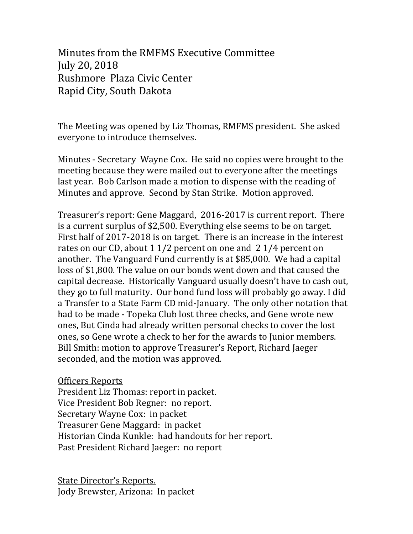Minutes from the RMFMS Executive Committee July 20, 2018 Rushmore Plaza Civic Center Rapid City, South Dakota

The Meeting was opened by Liz Thomas, RMFMS president. She asked everyone to introduce themselves.

Minutes - Secretary Wayne Cox. He said no copies were brought to the meeting because they were mailed out to everyone after the meetings last year. Bob Carlson made a motion to dispense with the reading of Minutes and approve. Second by Stan Strike. Motion approved.

Treasurer's report: Gene Maggard, 2016-2017 is current report. There is a current surplus of \$2,500. Everything else seems to be on target. First half of 2017-2018 is on target. There is an increase in the interest rates on our CD, about 1 1/2 percent on one and  $2\frac{1}{4}$  percent on another. The Vanguard Fund currently is at \$85,000. We had a capital loss of \$1,800. The value on our bonds went down and that caused the capital decrease. Historically Vanguard usually doesn't have to cash out, they go to full maturity. Our bond fund loss will probably go away. I did a Transfer to a State Farm CD mid-January. The only other notation that had to be made - Topeka Club lost three checks, and Gene wrote new ones, But Cinda had already written personal checks to cover the lost ones, so Gene wrote a check to her for the awards to Junior members. Bill Smith: motion to approve Treasurer's Report, Richard Jaeger seconded, and the motion was approved.

**Officers Reports** 

President Liz Thomas: report in packet. Vice President Bob Regner: no report. Secretary Wayne Cox: in packet Treasurer Gene Maggard: in packet Historian Cinda Kunkle: had handouts for her report. Past President Richard Jaeger: no report

State Director's Reports. Jody Brewster, Arizona: In packet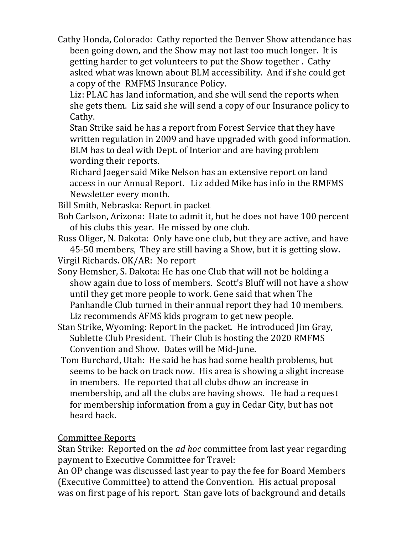Cathy Honda, Colorado: Cathy reported the Denver Show attendance has been going down, and the Show may not last too much longer. It is getting harder to get volunteers to put the Show together. Cathy asked what was known about BLM accessibility. And if she could get a copy of the RMFMS Insurance Policy.

Liz: PLAC has land information, and she will send the reports when she gets them. Liz said she will send a copy of our Insurance policy to Cathy. 

Stan Strike said he has a report from Forest Service that they have written regulation in 2009 and have upgraded with good information. BLM has to deal with Dept. of Interior and are having problem wording their reports.

Richard Jaeger said Mike Nelson has an extensive report on land access in our Annual Report. Liz added Mike has info in the RMFMS Newsletter every month.

- Bill Smith, Nebraska: Report in packet
- Bob Carlson, Arizona: Hate to admit it, but he does not have 100 percent of his clubs this year. He missed by one club.
- Russ Oliger, N. Dakota: Only have one club, but they are active, and have 45-50 members, They are still having a Show, but it is getting slow.
- Virgil Richards. OK/AR: No report
- Sony Hemsher, S. Dakota: He has one Club that will not be holding a show again due to loss of members. Scott's Bluff will not have a show until they get more people to work. Gene said that when The Panhandle Club turned in their annual report they had 10 members. Liz recommends AFMS kids program to get new people.
- Stan Strike, Wyoming: Report in the packet. He introduced Jim Gray, Sublette Club President. Their Club is hosting the 2020 RMFMS Convention and Show. Dates will be Mid-June.
- Tom Burchard, Utah: He said he has had some health problems, but seems to be back on track now. His area is showing a slight increase in members. He reported that all clubs dhow an increase in membership, and all the clubs are having shows. He had a request for membership information from a guy in Cedar City, but has not heard back.

## Committee Reports

Stan Strike: Reported on the *ad hoc* committee from last year regarding payment to Executive Committee for Travel:

An OP change was discussed last year to pay the fee for Board Members (Executive Committee) to attend the Convention. His actual proposal was on first page of his report. Stan gave lots of background and details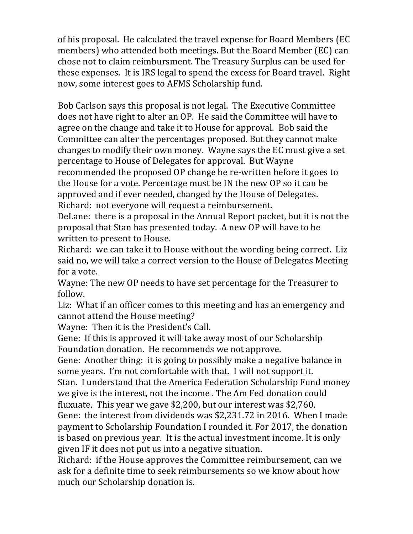of his proposal. He calculated the travel expense for Board Members (EC members) who attended both meetings. But the Board Member (EC) can chose not to claim reimbursment. The Treasury Surplus can be used for these expenses. It is IRS legal to spend the excess for Board travel. Right now, some interest goes to AFMS Scholarship fund.

Bob Carlson says this proposal is not legal. The Executive Committee does not have right to alter an OP. He said the Committee will have to agree on the change and take it to House for approval. Bob said the Committee can alter the percentages proposed. But they cannot make changes to modify their own money. Wayne says the EC must give a set percentage to House of Delegates for approval. But Wayne recommended the proposed OP change be re-written before it goes to the House for a vote. Percentage must be IN the new OP so it can be approved and if ever needed, changed by the House of Delegates. Richard: not everyone will request a reimbursement.

DeLane: there is a proposal in the Annual Report packet, but it is not the proposal that Stan has presented today. A new OP will have to be written to present to House.

Richard: we can take it to House without the wording being correct. Liz said no, we will take a correct version to the House of Delegates Meeting for a vote.

Wayne: The new OP needs to have set percentage for the Treasurer to follow.

Liz: What if an officer comes to this meeting and has an emergency and cannot attend the House meeting?

Wayne: Then it is the President's Call.

Gene: If this is approved it will take away most of our Scholarship Foundation donation. He recommends we not approve.

Gene: Another thing: it is going to possibly make a negative balance in some years. I'm not comfortable with that. I will not support it.

Stan. I understand that the America Federation Scholarship Fund money we give is the interest, not the income. The Am Fed donation could fluxuate. This year we gave \$2,200, but our interest was \$2,760.

Gene: the interest from dividends was \$2.231.72 in 2016. When I made payment to Scholarship Foundation I rounded it. For 2017, the donation is based on previous year. It is the actual investment income. It is only given IF it does not put us into a negative situation.

Richard: if the House approves the Committee reimbursement, can we ask for a definite time to seek reimbursements so we know about how much our Scholarship donation is.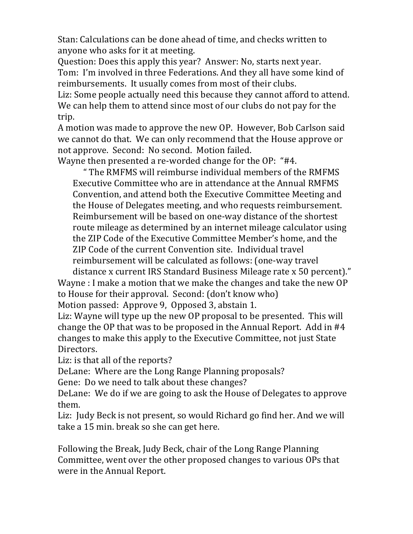Stan: Calculations can be done ahead of time, and checks written to anyone who asks for it at meeting.

Question: Does this apply this year? Answer: No, starts next year. Tom: I'm involved in three Federations. And they all have some kind of reimbursements. It usually comes from most of their clubs.

Liz: Some people actually need this because they cannot afford to attend. We can help them to attend since most of our clubs do not pay for the trip.

A motion was made to approve the new OP. However, Bob Carlson said we cannot do that. We can only recommend that the House approve or not approve. Second: No second. Motion failed.

Wayne then presented a re-worded change for the OP: "#4.

" The RMFMS will reimburse individual members of the RMFMS Executive Committee who are in attendance at the Annual RMFMS Convention, and attend both the Executive Committee Meeting and the House of Delegates meeting, and who requests reimbursement. Reimbursement will be based on one-way distance of the shortest route mileage as determined by an internet mileage calculator using the ZIP Code of the Executive Committee Member's home, and the ZIP Code of the current Convention site. Individual travel reimbursement will be calculated as follows: (one-way travel

distance x current IRS Standard Business Mileage rate x 50 percent)." Wayne : I make a motion that we make the changes and take the new  $OP$ to House for their approval. Second: (don't know who) Motion passed: Approve 9, Opposed 3, abstain 1.

Liz: Wayne will type up the new OP proposal to be presented. This will change the OP that was to be proposed in the Annual Report. Add in  $#4$ changes to make this apply to the Executive Committee, not just State Directors.

Liz: is that all of the reports?

DeLane: Where are the Long Range Planning proposals?

Gene: Do we need to talk about these changes?

DeLane: We do if we are going to ask the House of Delegates to approve them.

Liz: Judy Beck is not present, so would Richard go find her. And we will take a 15 min. break so she can get here.

Following the Break, Judy Beck, chair of the Long Range Planning Committee, went over the other proposed changes to various OPs that were in the Annual Report.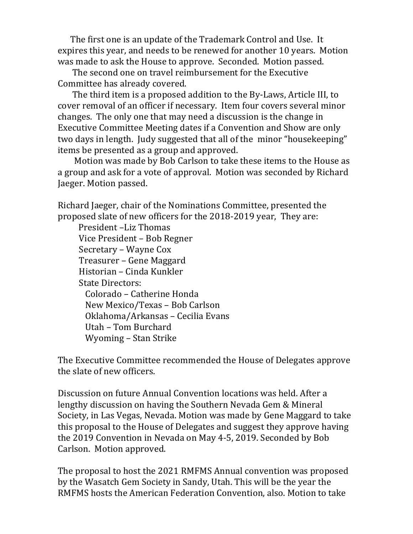The first one is an update of the Trademark Control and Use. It expires this year, and needs to be renewed for another 10 years. Motion was made to ask the House to approve. Seconded. Motion passed.

The second one on travel reimbursement for the Executive Committee has already covered.

The third item is a proposed addition to the By-Laws, Article III, to cover removal of an officer if necessary. Item four covers several minor changes. The only one that may need a discussion is the change in Executive Committee Meeting dates if a Convention and Show are only two days in length. Judy suggested that all of the minor "housekeeping" items be presented as a group and approved.

Motion was made by Bob Carlson to take these items to the House as a group and ask for a vote of approval. Motion was seconded by Richard Jaeger. Motion passed.

Richard Jaeger, chair of the Nominations Committee, presented the proposed slate of new officers for the 2018-2019 year, They are:

President –Liz Thomas Vice President – Bob Regner Secretary - Wayne Cox Treasurer – Gene Maggard Historian – Cinda Kunkler State Directors: Colorado – Catherine Honda New Mexico/Texas - Bob Carlson Oklahoma/Arkansas - Cecilia Evans Utah – Tom Burchard Wyoming - Stan Strike

The Executive Committee recommended the House of Delegates approve the slate of new officers.

Discussion on future Annual Convention locations was held. After a lengthy discussion on having the Southern Nevada Gem & Mineral Society, in Las Vegas, Nevada. Motion was made by Gene Maggard to take this proposal to the House of Delegates and suggest they approve having the 2019 Convention in Nevada on May 4-5, 2019. Seconded by Bob Carlson. Motion approved.

The proposal to host the 2021 RMFMS Annual convention was proposed by the Wasatch Gem Society in Sandy, Utah. This will be the year the RMFMS hosts the American Federation Convention, also. Motion to take